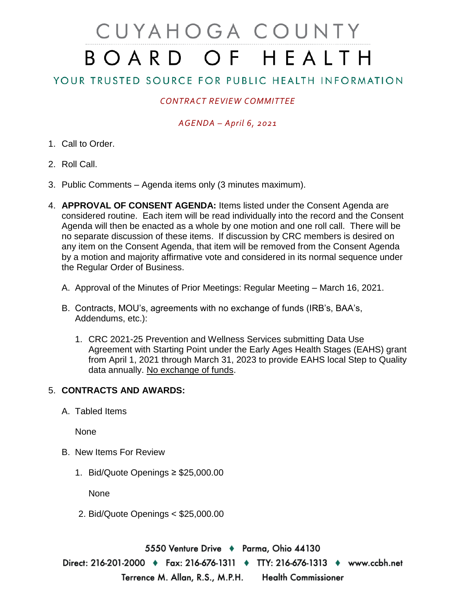# CUYAHOGA COUNTY BOARD OF HEALTH

## YOUR TRUSTED SOURCE FOR PUBLIC HEALTH INFORMATION

### *CONTRACT REVIEW COMMITTEE*

#### *AGENDA – April 6, 2021*

- 1. Call to Order.
- 2. Roll Call.
- 3. Public Comments Agenda items only (3 minutes maximum).
- 4. **APPROVAL OF CONSENT AGENDA:** Items listed under the Consent Agenda are considered routine. Each item will be read individually into the record and the Consent Agenda will then be enacted as a whole by one motion and one roll call. There will be no separate discussion of these items. If discussion by CRC members is desired on any item on the Consent Agenda, that item will be removed from the Consent Agenda by a motion and majority affirmative vote and considered in its normal sequence under the Regular Order of Business.
	- A. Approval of the Minutes of Prior Meetings: Regular Meeting March 16, 2021.
	- B. Contracts, MOU's, agreements with no exchange of funds (IRB's, BAA's, Addendums, etc.):
		- 1. CRC 2021-25 Prevention and Wellness Services submitting Data Use Agreement with Starting Point under the Early Ages Health Stages (EAHS) grant from April 1, 2021 through March 31, 2023 to provide EAHS local Step to Quality data annually. No exchange of funds.

#### 5. **CONTRACTS AND AWARDS:**

A. Tabled Items

None

- B. New Items For Review
	- 1. Bid/Quote Openings ≥ \$25,000.00

**None** 

2. Bid/Quote Openings < \$25,000.00

5550 Venture Drive → Parma, Ohio 44130 Direct: 216-201-2000 ♦ Fax: 216-676-1311 ♦ TTY: 216-676-1313 ♦ www.ccbh.net Terrence M. Allan, R.S., M.P.H. **Health Commissioner**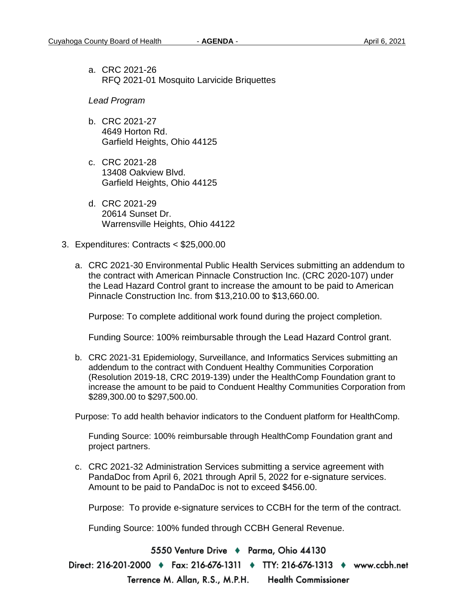a. CRC 2021-26 RFQ 2021-01 Mosquito Larvicide Briquettes

*Lead Program* 

- b. CRC 2021-27 4649 Horton Rd. Garfield Heights, Ohio 44125
- c. CRC 2021-28 13408 Oakview Blvd. Garfield Heights, Ohio 44125
- d. CRC 2021-29 20614 Sunset Dr. Warrensville Heights, Ohio 44122
- 3. Expenditures: Contracts < \$25,000.00
	- a. CRC 2021-30 Environmental Public Health Services submitting an addendum to the contract with American Pinnacle Construction Inc. (CRC 2020-107) under the Lead Hazard Control grant to increase the amount to be paid to American Pinnacle Construction Inc. from \$13,210.00 to \$13,660.00.

Purpose: To complete additional work found during the project completion.

Funding Source: 100% reimbursable through the Lead Hazard Control grant.

b. CRC 2021-31 Epidemiology, Surveillance, and Informatics Services submitting an addendum to the contract with Conduent Healthy Communities Corporation (Resolution 2019-18, CRC 2019-139) under the HealthComp Foundation grant to increase the amount to be paid to Conduent Healthy Communities Corporation from \$289,300.00 to \$297,500.00.

Purpose: To add health behavior indicators to the Conduent platform for HealthComp.

Funding Source: 100% reimbursable through HealthComp Foundation grant and project partners.

c. CRC 2021-32 Administration Services submitting a service agreement with PandaDoc from April 6, 2021 through April 5, 2022 for e-signature services. Amount to be paid to PandaDoc is not to exceed \$456.00.

Purpose: To provide e-signature services to CCBH for the term of the contract.

Funding Source: 100% funded through CCBH General Revenue.

5550 Venture Drive ♦ Parma, Ohio 44130

Direct: 216-201-2000 ♦ Fax: 216-676-1311 ♦ TTY: 216-676-1313 ♦ www.ccbh.net

Terrence M. Allan, R.S., M.P.H.

**Health Commissioner**